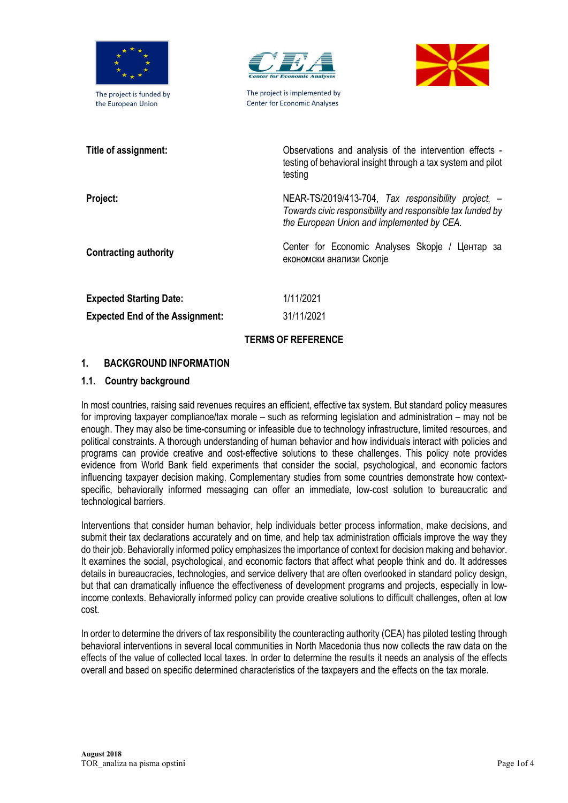

The project is funded by the European Union



The project is implemented by **Center for Economic Analyses** 



| Title of assignment:                   | Observations and analysis of the intervention effects -<br>testing of behavioral insight through a tax system and pilot<br>testing                                |
|----------------------------------------|-------------------------------------------------------------------------------------------------------------------------------------------------------------------|
| Project:                               | NEAR-TS/2019/413-704, Tax responsibility project, $-$<br>Towards civic responsibility and responsible tax funded by<br>the European Union and implemented by CEA. |
| <b>Contracting authority</b>           | Center for Economic Analyses Skopje / Центар за<br>економски анализи Скопје                                                                                       |
| <b>Expected Starting Date:</b>         | 1/11/2021                                                                                                                                                         |
| <b>Expected End of the Assignment:</b> | 31/11/2021                                                                                                                                                        |
| <b>TERMS OF REFERENCE</b>              |                                                                                                                                                                   |

# 1. BACKGROUND INFORMATION

### 1.1. Country background

In most countries, raising said revenues requires an efficient, effective tax system. But standard policy measures for improving taxpayer compliance/tax morale – such as reforming legislation and administration – may not be enough. They may also be time-consuming or infeasible due to technology infrastructure, limited resources, and political constraints. A thorough understanding of human behavior and how individuals interact with policies and programs can provide creative and cost-effective solutions to these challenges. This policy note provides evidence from World Bank field experiments that consider the social, psychological, and economic factors influencing taxpayer decision making. Complementary studies from some countries demonstrate how contextspecific, behaviorally informed messaging can offer an immediate, low-cost solution to bureaucratic and technological barriers.

Interventions that consider human behavior, help individuals better process information, make decisions, and submit their tax declarations accurately and on time, and help tax administration officials improve the way they do their job. Behaviorally informed policy emphasizes the importance of context for decision making and behavior. It examines the social, psychological, and economic factors that affect what people think and do. It addresses details in bureaucracies, technologies, and service delivery that are often overlooked in standard policy design, but that can dramatically influence the effectiveness of development programs and projects, especially in lowincome contexts. Behaviorally informed policy can provide creative solutions to difficult challenges, often at low cost.

In order to determine the drivers of tax responsibility the counteracting authority (CEA) has piloted testing through behavioral interventions in several local communities in North Macedonia thus now collects the raw data on the effects of the value of collected local taxes. In order to determine the results it needs an analysis of the effects overall and based on specific determined characteristics of the taxpayers and the effects on the tax morale.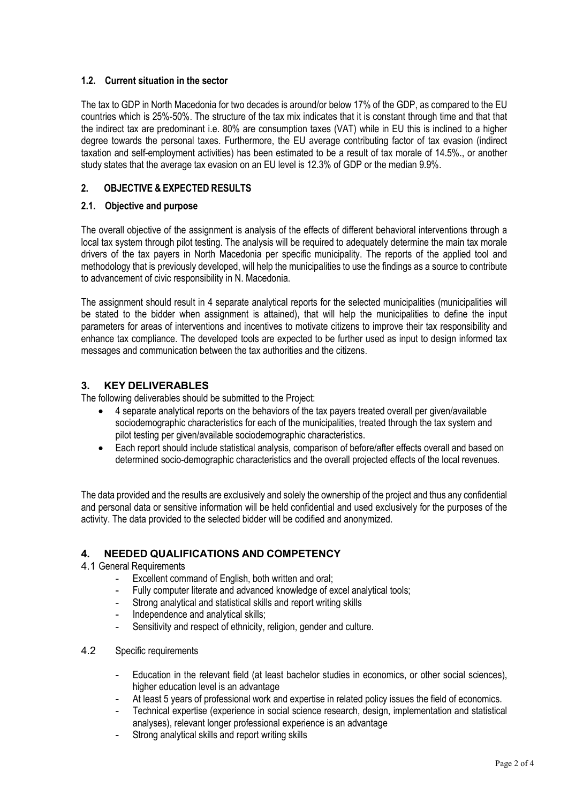## 1.2. Current situation in the sector

The tax to GDP in North Macedonia for two decades is around/or below 17% of the GDP, as compared to the EU countries which is 25%-50%. The structure of the tax mix indicates that it is constant through time and that that the indirect tax are predominant i.e. 80% are consumption taxes (VAT) while in EU this is inclined to a higher degree towards the personal taxes. Furthermore, the EU average contributing factor of tax evasion (indirect taxation and self-employment activities) has been estimated to be a result of tax morale of 14.5%., or another study states that the average tax evasion on an EU level is 12.3% of GDP or the median 9.9%.

### 2. OBJECTIVE & EXPECTED RESULTS

### 2.1. Objective and purpose

The overall objective of the assignment is analysis of the effects of different behavioral interventions through a local tax system through pilot testing. The analysis will be required to adequately determine the main tax morale drivers of the tax payers in North Macedonia per specific municipality. The reports of the applied tool and methodology that is previously developed, will help the municipalities to use the findings as a source to contribute to advancement of civic responsibility in N. Macedonia.

The assignment should result in 4 separate analytical reports for the selected municipalities (municipalities will be stated to the bidder when assignment is attained), that will help the municipalities to define the input parameters for areas of interventions and incentives to motivate citizens to improve their tax responsibility and enhance tax compliance. The developed tools are expected to be further used as input to design informed tax messages and communication between the tax authorities and the citizens.

# 3. KEY DELIVERABLES

The following deliverables should be submitted to the Project:

- 4 separate analytical reports on the behaviors of the tax payers treated overall per given/available sociodemographic characteristics for each of the municipalities, treated through the tax system and pilot testing per given/available sociodemographic characteristics.
- Each report should include statistical analysis, comparison of before/after effects overall and based on determined socio-demographic characteristics and the overall projected effects of the local revenues.

The data provided and the results are exclusively and solely the ownership of the project and thus any confidential and personal data or sensitive information will be held confidential and used exclusively for the purposes of the activity. The data provided to the selected bidder will be codified and anonymized.

## 4. NEEDED QUALIFICATIONS AND COMPETENCY

### 4.1 General Requirements

- Excellent command of English, both written and oral;
- Fully computer literate and advanced knowledge of excel analytical tools;
- Strong analytical and statistical skills and report writing skills
- Independence and analytical skills:
- Sensitivity and respect of ethnicity, religion, gender and culture.
- 4.2 Specific requirements
	- Education in the relevant field (at least bachelor studies in economics, or other social sciences), higher education level is an advantage
	- At least 5 years of professional work and expertise in related policy issues the field of economics.
	- Technical expertise (experience in social science research, design, implementation and statistical analyses), relevant longer professional experience is an advantage
	- Strong analytical skills and report writing skills